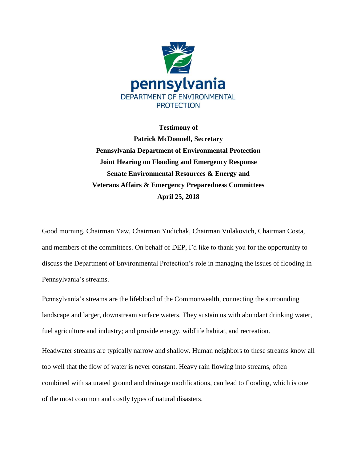

**Testimony of**

**Patrick McDonnell, Secretary Pennsylvania Department of Environmental Protection Joint Hearing on Flooding and Emergency Response Senate Environmental Resources & Energy and Veterans Affairs & Emergency Preparedness Committees April 25, 2018**

Good morning, Chairman Yaw, Chairman Yudichak, Chairman Vulakovich, Chairman Costa, and members of the committees. On behalf of DEP, I'd like to thank you for the opportunity to discuss the Department of Environmental Protection's role in managing the issues of flooding in Pennsylvania's streams.

Pennsylvania's streams are the lifeblood of the Commonwealth, connecting the surrounding landscape and larger, downstream surface waters. They sustain us with abundant drinking water, fuel agriculture and industry; and provide energy, wildlife habitat, and recreation.

Headwater streams are typically narrow and shallow. Human neighbors to these streams know all too well that the flow of water is never constant. Heavy rain flowing into streams, often combined with saturated ground and drainage modifications, can lead to flooding, which is one of the most common and costly types of natural disasters.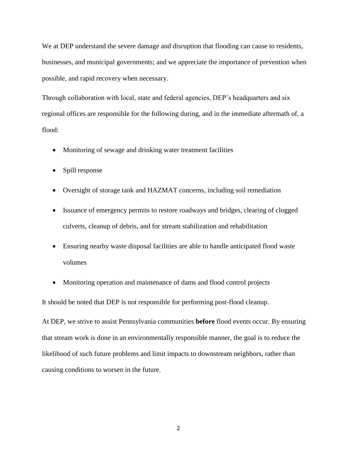We at DEP understand the severe damage and disruption that flooding can cause to residents, businesses, and municipal governments; and we appreciate the importance of prevention when possible, and rapid recovery when necessary.

Through collaboration with local, state and federal agencies, DEP's headquarters and six regional offices are responsible for the following during, and in the immediate aftermath of, a flood:

- Monitoring of sewage and drinking water treatment facilities
- Spill response
- Oversight of storage tank and HAZMAT concerns, including soil remediation
- Issuance of emergency permits to restore roadways and bridges, clearing of clogged culverts, cleanup of debris, and for stream stabilization and rehabilitation
- Ensuring nearby waste disposal facilities are able to handle anticipated flood waste volumes
- Monitoring operation and maintenance of dams and flood control projects

It should be noted that DEP is not responsible for performing post-flood cleanup.

At DEP, we strive to assist Pennsylvania communities **before** flood events occur. By ensuring that stream work is done in an environmentally responsible manner, the goal is to reduce the likelihood of such future problems and limit impacts to downstream neighbors, rather than causing conditions to worsen in the future.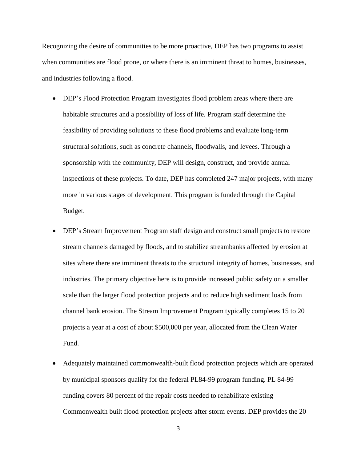Recognizing the desire of communities to be more proactive, DEP has two programs to assist when communities are flood prone, or where there is an imminent threat to homes, businesses, and industries following a flood.

- DEP's Flood Protection Program investigates flood problem areas where there are habitable structures and a possibility of loss of life. Program staff determine the feasibility of providing solutions to these flood problems and evaluate long-term structural solutions, such as concrete channels, floodwalls, and levees. Through a sponsorship with the community, DEP will design, construct, and provide annual inspections of these projects. To date, DEP has completed 247 major projects, with many more in various stages of development. This program is funded through the Capital Budget.
- DEP's Stream Improvement Program staff design and construct small projects to restore stream channels damaged by floods, and to stabilize streambanks affected by erosion at sites where there are imminent threats to the structural integrity of homes, businesses, and industries. The primary objective here is to provide increased public safety on a smaller scale than the larger flood protection projects and to reduce high sediment loads from channel bank erosion. The Stream Improvement Program typically completes 15 to 20 projects a year at a cost of about \$500,000 per year, allocated from the Clean Water Fund.
- Adequately maintained commonwealth-built flood protection projects which are operated by municipal sponsors qualify for the federal PL84-99 program funding. PL 84-99 funding covers 80 percent of the repair costs needed to rehabilitate existing Commonwealth built flood protection projects after storm events. DEP provides the 20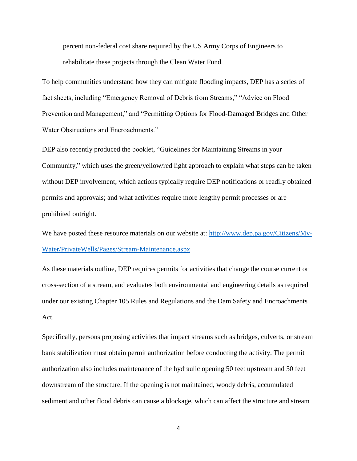percent non-federal cost share required by the US Army Corps of Engineers to rehabilitate these projects through the Clean Water Fund.

To help communities understand how they can mitigate flooding impacts, DEP has a series of fact sheets, including "Emergency Removal of Debris from Streams," "Advice on Flood Prevention and Management," and "Permitting Options for Flood-Damaged Bridges and Other Water Obstructions and Encroachments."

DEP also recently produced the booklet, "Guidelines for Maintaining Streams in your Community," which uses the green/yellow/red light approach to explain what steps can be taken without DEP involvement; which actions typically require DEP notifications or readily obtained permits and approvals; and what activities require more lengthy permit processes or are prohibited outright.

We have posted these resource materials on our website at: [http://www.dep.pa.gov/Citizens/My-](http://www.dep.pa.gov/Citizens/My-Water/PrivateWells/Pages/Stream-Maintenance.aspx)[Water/PrivateWells/Pages/Stream-Maintenance.aspx](http://www.dep.pa.gov/Citizens/My-Water/PrivateWells/Pages/Stream-Maintenance.aspx)

As these materials outline, DEP requires permits for activities that change the course current or cross-section of a stream, and evaluates both environmental and engineering details as required under our existing Chapter 105 Rules and Regulations and the Dam Safety and Encroachments Act.

Specifically, persons proposing activities that impact streams such as bridges, culverts, or stream bank stabilization must obtain permit authorization before conducting the activity. The permit authorization also includes maintenance of the hydraulic opening 50 feet upstream and 50 feet downstream of the structure. If the opening is not maintained, woody debris, accumulated sediment and other flood debris can cause a blockage, which can affect the structure and stream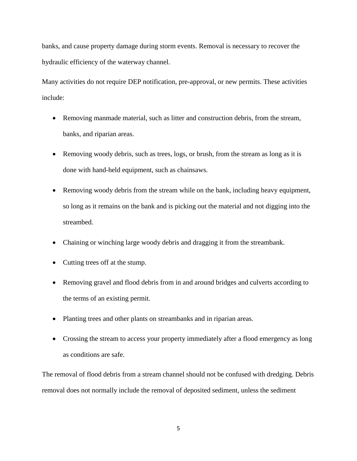banks, and cause property damage during storm events. Removal is necessary to recover the hydraulic efficiency of the waterway channel.

Many activities do not require DEP notification, pre-approval, or new permits. These activities include:

- Removing manmade material, such as litter and construction debris, from the stream, banks, and riparian areas.
- Removing woody debris, such as trees, logs, or brush, from the stream as long as it is done with hand-held equipment, such as chainsaws.
- Removing woody debris from the stream while on the bank, including heavy equipment, so long as it remains on the bank and is picking out the material and not digging into the streambed.
- Chaining or winching large woody debris and dragging it from the streambank.
- Cutting trees off at the stump.
- Removing gravel and flood debris from in and around bridges and culverts according to the terms of an existing permit.
- Planting trees and other plants on streambanks and in riparian areas.
- Crossing the stream to access your property immediately after a flood emergency as long as conditions are safe.

The removal of flood debris from a stream channel should not be confused with dredging. Debris removal does not normally include the removal of deposited sediment, unless the sediment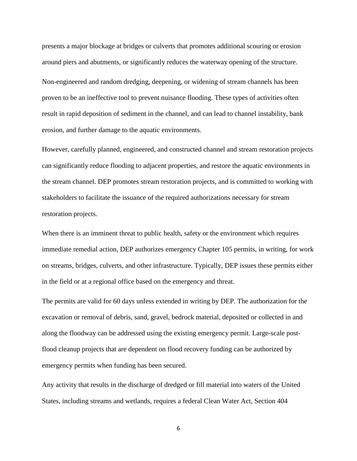presents a major blockage at bridges or culverts that promotes additional scouring or erosion around piers and abutments, or significantly reduces the waterway opening of the structure. Non-engineered and random dredging, deepening, or widening of stream channels has been proven to be an ineffective tool to prevent nuisance flooding. These types of activities often result in rapid deposition of sediment in the channel, and can lead to channel instability, bank erosion, and further damage to the aquatic environments.

However, carefully planned, engineered, and constructed channel and stream restoration projects can significantly reduce flooding to adjacent properties, and restore the aquatic environments in the stream channel. DEP promotes stream restoration projects, and is committed to working with stakeholders to facilitate the issuance of the required authorizations necessary for stream restoration projects.

When there is an imminent threat to public health, safety or the environment which requires immediate remedial action, DEP authorizes emergency Chapter 105 permits, in writing, for work on streams, bridges, culverts, and other infrastructure. Typically, DEP issues these permits either in the field or at a regional office based on the emergency and threat.

The permits are valid for 60 days unless extended in writing by DEP. The authorization for the excavation or removal of debris, sand, gravel, bedrock material, deposited or collected in and along the floodway can be addressed using the existing emergency permit. Large-scale postflood cleanup projects that are dependent on flood recovery funding can be authorized by emergency permits when funding has been secured.

Any activity that results in the discharge of dredged or fill material into waters of the United States, including streams and wetlands, requires a federal Clean Water Act, Section 404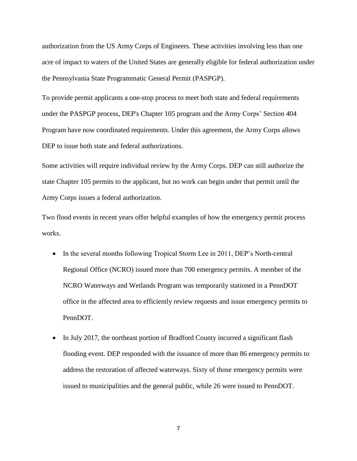authorization from the US Army Corps of Engineers. These activities involving less than one acre of impact to waters of the United States are generally eligible for federal authorization under the Pennsylvania State Programmatic General Permit (PASPGP).

To provide permit applicants a one-stop process to meet both state and federal requirements under the PASPGP process, DEP's Chapter 105 program and the Army Corps' Section 404 Program have now coordinated requirements. Under this agreement, the Army Corps allows DEP to issue both state and federal authorizations.

Some activities will require individual review by the Army Corps. DEP can still authorize the state Chapter 105 permits to the applicant, but no work can begin under that permit until the Army Corps issues a federal authorization.

Two flood events in recent years offer helpful examples of how the emergency permit process works.

- In the several months following Tropical Storm Lee in 2011, DEP's North-central Regional Office (NCRO) issued more than 700 emergency permits. A member of the NCRO Waterways and Wetlands Program was temporarily stationed in a PennDOT office in the affected area to efficiently review requests and issue emergency permits to PennDOT.
- In July 2017, the northeast portion of Bradford County incurred a significant flash flooding event. DEP responded with the issuance of more than 86 emergency permits to address the restoration of affected waterways. Sixty of those emergency permits were issued to municipalities and the general public, while 26 were issued to PennDOT.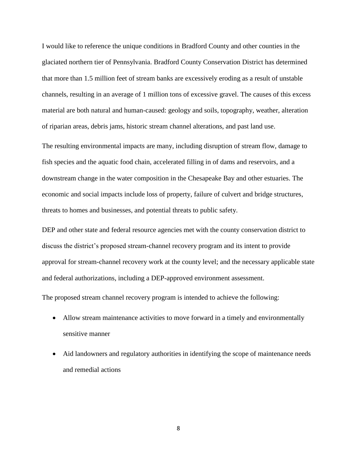I would like to reference the unique conditions in Bradford County and other counties in the glaciated northern tier of Pennsylvania. Bradford County Conservation District has determined that more than 1.5 million feet of stream banks are excessively eroding as a result of unstable channels, resulting in an average of 1 million tons of excessive gravel. The causes of this excess material are both natural and human-caused: geology and soils, topography, weather, alteration of riparian areas, debris jams, historic stream channel alterations, and past land use.

The resulting environmental impacts are many, including disruption of stream flow, damage to fish species and the aquatic food chain, accelerated filling in of dams and reservoirs, and a downstream change in the water composition in the Chesapeake Bay and other estuaries. The economic and social impacts include loss of property, failure of culvert and bridge structures, threats to homes and businesses, and potential threats to public safety.

DEP and other state and federal resource agencies met with the county conservation district to discuss the district's proposed stream-channel recovery program and its intent to provide approval for stream-channel recovery work at the county level; and the necessary applicable state and federal authorizations, including a DEP-approved environment assessment.

The proposed stream channel recovery program is intended to achieve the following:

- Allow stream maintenance activities to move forward in a timely and environmentally sensitive manner
- Aid landowners and regulatory authorities in identifying the scope of maintenance needs and remedial actions